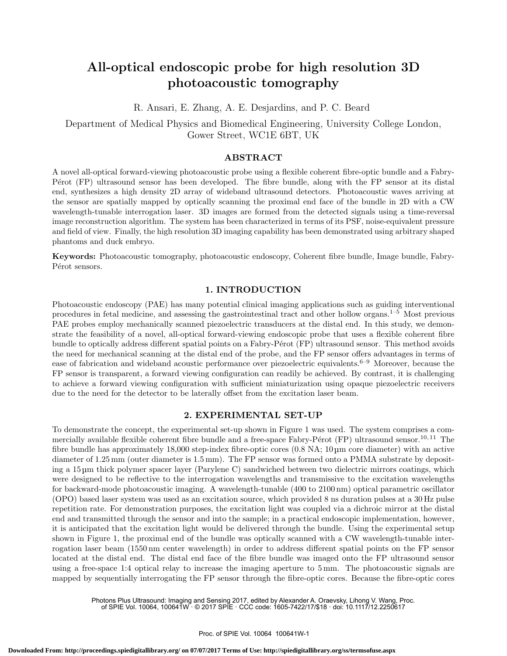# All-optical endoscopic probe for high resolution 3D photoacoustic tomography

R. Ansari, E. Zhang, A. E. Desjardins, and P. C. Beard

Department of Medical Physics and Biomedical Engineering, University College London, Gower Street, WC1E 6BT, UK

## ABSTRACT

A novel all-optical forward-viewing photoacoustic probe using a flexible coherent fibre-optic bundle and a Fabry-P'erot (FP) ultrasound sensor has been developed. The fibre bundle, along with the FP sensor at its distal end, synthesizes a high density 2D array of wideband ultrasound detectors. Photoacoustic waves arriving at the sensor are spatially mapped by optically scanning the proximal end face of the bundle in 2D with a CW wavelength-tunable interrogation laser. 3D images are formed from the detected signals using a time-reversal image reconstruction algorithm. The system has been characterized in terms of its PSF, noise-equivalent pressure and field of view. Finally, the high resolution 3D imaging capability has been demonstrated using arbitrary shaped phantoms and duck embryo.

Keywords: Photoacoustic tomography, photoacoustic endoscopy, Coherent fibre bundle, Image bundle, Fabry-Pérot sensors.

# 1. INTRODUCTION

Photoacoustic endoscopy (PAE) has many potential clinical imaging applications such as guiding interventional procedures in fetal medicine, and assessing the gastrointestinal tract and other hollow organs.<sup>1–5</sup> Most previous PAE probes employ mechanically scanned piezoelectric transducers at the distal end. In this study, we demonstrate the feasibility of a novel, all-optical forward-viewing endoscopic probe that uses a flexible coherent fibre bundle to optically address different spatial points on a Fabry-Pérot (FP) ultrasound sensor. This method avoids the need for mechanical scanning at the distal end of the probe, and the FP sensor offers advantages in terms of ease of fabrication and wideband acoustic performance over piezoelectric equivalents.<sup>6–9</sup> Moreover, because the FP sensor is transparent, a forward viewing configuration can readily be achieved. By contrast, it is challenging to achieve a forward viewing configuration with sufficient miniaturization using opaque piezoelectric receivers due to the need for the detector to be laterally offset from the excitation laser beam.

## 2. EXPERIMENTAL SET-UP

To demonstrate the concept, the experimental set-up shown in Figure 1 was used. The system comprises a commercially available flexible coherent fibre bundle and a free-space Fabry-Pérot (FP) ultrasound sensor.<sup>10, 11</sup> The fibre bundle has approximately 18,000 step-index fibre-optic cores (0.8 NA; 10 µm core diameter) with an active diameter of 1.25 mm (outer diameter is 1.5 mm). The FP sensor was formed onto a PMMA substrate by depositing a 15 µm thick polymer spacer layer (Parylene C) sandwiched between two dielectric mirrors coatings, which were designed to be reflective to the interrogation wavelengths and transmissive to the excitation wavelengths for backward-mode photoacoustic imaging. A wavelength-tunable (400 to 2100 nm) optical parametric oscillator (OPO) based laser system was used as an excitation source, which provided 8 ns duration pulses at a 30 Hz pulse repetition rate. For demonstration purposes, the excitation light was coupled via a dichroic mirror at the distal end and transmitted through the sensor and into the sample; in a practical endoscopic implementation, however, it is anticipated that the excitation light would be delivered through the bundle. Using the experimental setup shown in Figure 1, the proximal end of the bundle was optically scanned with a CW wavelength-tunable interrogation laser beam (1550 nm center wavelength) in order to address different spatial points on the FP sensor located at the distal end. The distal end face of the fibre bundle was imaged onto the FP ultrasound sensor using a free-space 1:4 optical relay to increase the imaging aperture to 5 mm. The photoacoustic signals are mapped by sequentially interrogating the FP sensor through the fibre-optic cores. Because the fibre-optic cores

Photons Plus Ultrasound: Imaging and Sensing 2017, edited by Alexander A. Oraevsky, Lihong V. Wang, Proc. of SPIE Vol. 10064, 100641W · © 2017 SPIE · CCC code: 1605-7422/17/\$18 · doi: 10.1117/12.2250617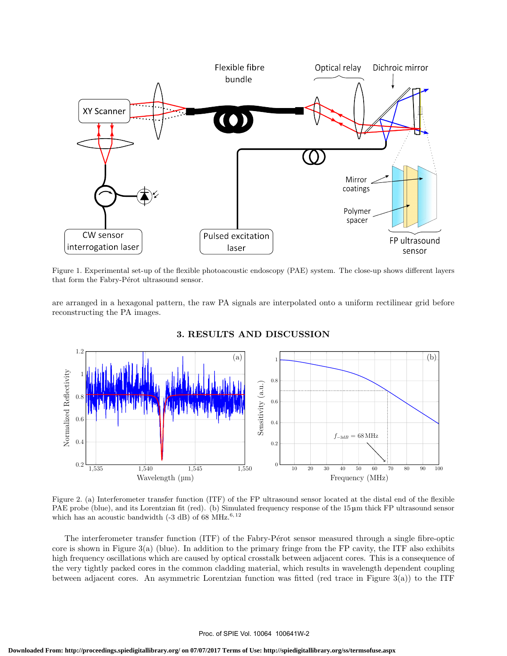

Figure 1. Experimental set-up of the flexible photoacoustic endoscopy (PAE) system. The close-up shows different layers that form the Fabry-Pérot ultrasound sensor.

are arranged in a hexagonal pattern, the raw PA signals are interpolated onto a uniform rectilinear grid before reconstructing the PA images.



## 3. RESULTS AND DISCUSSION

Figure 2. (a) Interferometer transfer function (ITF) of the FP ultrasound sensor located at the distal end of the flexible PAE probe (blue), and its Lorentzian fit (red). (b) Simulated frequency response of the 15  $\mu$ m thick FP ultrasound sensor which has an acoustic bandwidth (-3 dB) of 68 MHz.<sup>6, 12</sup>

The interferometer transfer function (ITF) of the Fabry-Pérot sensor measured through a single fibre-optic core is shown in Figure  $3(a)$  (blue). In addition to the primary fringe from the FP cavity, the ITF also exhibits high frequency oscillations which are caused by optical crosstalk between adjacent cores. This is a consequence of the very tightly packed cores in the common cladding material, which results in wavelength dependent coupling between adjacent cores. An asymmetric Lorentzian function was fitted (red trace in Figure  $3(a)$ ) to the ITF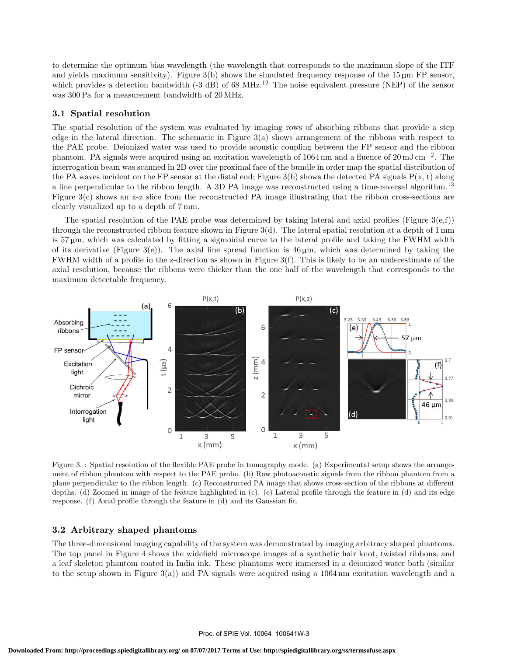to determine the optimum bias wavelength (the wavelength that corresponds to the maximum slope of the ITF and yields maximum sensitivity). Figure 3(b) shows the simulated frequency response of the 15  $\mu$ m FP sensor, which provides a detection bandwidth (-3 dB) of 68 MHz.<sup>12</sup> The noise equivalent pressure (NEP) of the sensor was 300 Pa for a measurement bandwidth of 20 MHz.

#### 3.1 Spatial resolution

The spatial resolution of the system was evaluated by imaging rows of absorbing ribbons that provide a step edge in the lateral direction. The schematic in Figure 3(a) shows arrangement of the ribbons with respect to the PAE probe. Deionized water was used to provide acoustic coupling between the FP sensor and the ribbon phantom. PA signals were acquired using an excitation wavelength of 1064 nm and a fluence of 20 mJ cm<sup>-2</sup>. The interrogation beam was scanned in 2D over the proximal face of the bundle in order map the spatial distribution of the PA waves incident on the FP sensor at the distal end; Figure 3(b) shows the detected PA signals  $P(x, t)$  along a line perpendicular to the ribbon length. A 3D PA image was reconstructed using a time-reversal algorithm.<sup>13</sup> Figure 3(c) shows an x-z slice from the reconstructed PA image illustrating that the ribbon cross-sections are clearly visualized up to a depth of 7 mm.

The spatial resolution of the PAE probe was determined by taking lateral and axial profiles (Figure  $3(e,f)$ ) through the reconstructed ribbon feature shown in Figure 3(d). The lateral spatial resolution at a depth of 1 mm is 57 µm, which was calculated by fitting a sigmoidal curve to the lateral profile and taking the FWHM width of its derivative (Figure 3(e)). The axial line spread function is 46  $\mu$ m, which was determined by taking the FWHM width of a profile in the z-direction as shown in Figure  $3(f)$ . This is likely to be an underestimate of the axial resolution, because the ribbons were thicker than the one half of the wavelength that corresponds to the maximum detectable frequency.



Figure 3. : Spatial resolution of the flexible PAE probe in tomography mode. (a) Experimental setup shows the arrangement of ribbon phantom with respect to the PAE probe. (b) Raw photoacoustic signals from the ribbon phantom from a plane perpendicular to the ribbon length. (c) Reconstructed PA image that shows cross-section of the ribbons at different depths. (d) Zoomed in image of the feature highlighted in (c). (e) Lateral profile through the feature in (d) and its edge response. (f) Axial profile through the feature in (d) and its Gaussian fit.

# 3.2 Arbitrary shaped phantoms

The three-dimensional imaging capability of the system was demonstrated by imaging arbitrary shaped phantoms. The top panel in Figure 4 shows the widefield microscope images of a synthetic hair knot, twisted ribbons, and a leaf skeleton phantom coated in India ink. These phantoms were immersed in a deionized water bath (similar to the setup shown in Figure  $3(a)$ ) and PA signals were acquired using a 1064 nm excitation wavelength and a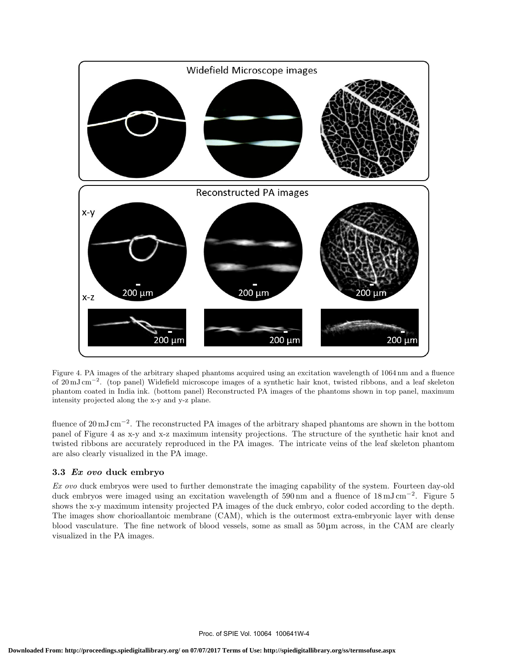

Figure 4. PA images of the arbitrary shaped phantoms acquired using an excitation wavelength of 1064 nm and a fluence of 20 mJ cm<sup>−2</sup>. (top panel) Widefield microscope images of a synthetic hair knot, twisted ribbons, and a leaf skeleton phantom coated in India ink. (bottom panel) Reconstructed PA images of the phantoms shown in top panel, maximum intensity projected along the x-y and y-z plane.

fluence of 20 mJ cm<sup>-2</sup>. The reconstructed PA images of the arbitrary shaped phantoms are shown in the bottom panel of Figure 4 as x-y and x-z maximum intensity projections. The structure of the synthetic hair knot and twisted ribbons are accurately reproduced in the PA images. The intricate veins of the leaf skeleton phantom are also clearly visualized in the PA image.

# 3.3 Ex ovo duck embryo

Ex ovo duck embryos were used to further demonstrate the imaging capability of the system. Fourteen day-old duck embryos were imaged using an excitation wavelength of 590 nm and a fluence of 18 mJ cm<sup>-2</sup>. Figure 5 shows the x-y maximum intensity projected PA images of the duck embryo, color coded according to the depth. The images show chorioallantoic membrane (CAM), which is the outermost extra-embryonic layer with dense blood vasculature. The fine network of blood vessels, some as small as 50 µm across, in the CAM are clearly visualized in the PA images.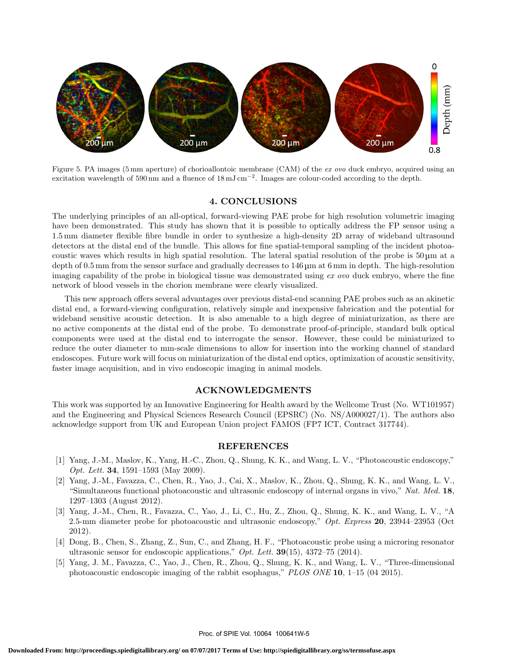

Figure 5. PA images (5 mm aperture) of chorioallontoic membrane (CAM) of the ex ovo duck embryo, acquired using an excitation wavelength of 590 nm and a fluence of  $18 \text{ mJ cm}^{-2}$ . Images are colour-coded according to the depth.

### 4. CONCLUSIONS

The underlying principles of an all-optical, forward-viewing PAE probe for high resolution volumetric imaging have been demonstrated. This study has shown that it is possible to optically address the FP sensor using a 1.5 mm diameter flexible fibre bundle in order to synthesize a high-density 2D array of wideband ultrasound detectors at the distal end of the bundle. This allows for fine spatial-temporal sampling of the incident photoacoustic waves which results in high spatial resolution. The lateral spatial resolution of the probe is 50 µm at a depth of 0.5 mm from the sensor surface and gradually decreases to 146 µm at 6 mm in depth. The high-resolution imaging capability of the probe in biological tissue was demonstrated using  $ex\ ovo$  duck embryo, where the fine network of blood vessels in the chorion membrane were clearly visualized.

This new approach offers several advantages over previous distal-end scanning PAE probes such as an akinetic distal end, a forward-viewing configuration, relatively simple and inexpensive fabrication and the potential for wideband sensitive acoustic detection. It is also amenable to a high degree of miniaturization, as there are no active components at the distal end of the probe. To demonstrate proof-of-principle, standard bulk optical components were used at the distal end to interrogate the sensor. However, these could be miniaturized to reduce the outer diameter to mm-scale dimensions to allow for insertion into the working channel of standard endoscopes. Future work will focus on miniaturization of the distal end optics, optimization of acoustic sensitivity, faster image acquisition, and in vivo endoscopic imaging in animal models.

#### ACKNOWLEDGMENTS

This work was supported by an Innovative Engineering for Health award by the Wellcome Trust (No. WT101957) and the Engineering and Physical Sciences Research Council (EPSRC) (No. NS/A000027/1). The authors also acknowledge support from UK and European Union project FAMOS (FP7 ICT, Contract 317744).

#### REFERENCES

- [1] Yang, J.-M., Maslov, K., Yang, H.-C., Zhou, Q., Shung, K. K., and Wang, L. V., "Photoacoustic endoscopy," Opt. Lett. 34, 1591–1593 (May 2009).
- [2] Yang, J.-M., Favazza, C., Chen, R., Yao, J., Cai, X., Maslov, K., Zhou, Q., Shung, K. K., and Wang, L. V., "Simultaneous functional photoacoustic and ultrasonic endoscopy of internal organs in vivo," Nat. Med. 18, 1297–1303 (August 2012).
- [3] Yang, J.-M., Chen, R., Favazza, C., Yao, J., Li, C., Hu, Z., Zhou, Q., Shung, K. K., and Wang, L. V., "A 2.5-mm diameter probe for photoacoustic and ultrasonic endoscopy," Opt. Express 20, 23944–23953 (Oct 2012).
- [4] Dong, B., Chen, S., Zhang, Z., Sun, C., and Zhang, H. F., "Photoacoustic probe using a microring resonator ultrasonic sensor for endoscopic applications,"  $Opt.$  Lett. **39**(15), 4372–75 (2014).
- [5] Yang, J. M., Favazza, C., Yao, J., Chen, R., Zhou, Q., Shung, K. K., and Wang, L. V., "Three-dimensional photoacoustic endoscopic imaging of the rabbit esophagus," PLOS ONE 10, 1–15 (04 2015).